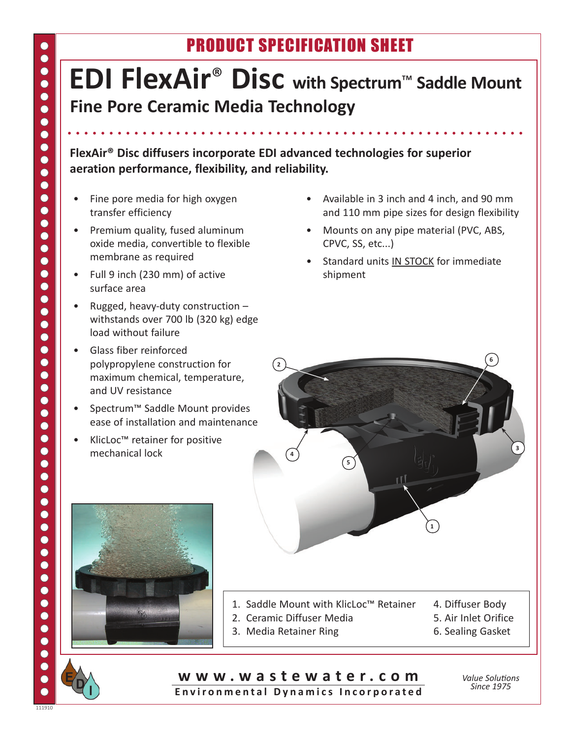## Product Specification Sheet

## **EDI FlexAir**® **Disc with Spectrum**™ **Saddle Mount Fine Pore Ceramic Media Technology**

**FlexAir® Disc diffusers incorporate EDI advanced technologies for superior aeration performance, flexibility, and reliability.**

- Fine pore media for high oxygen transfer efficiency
- Premium quality, fused aluminum oxide media, convertible to flexible membrane as required
- • Full 9 inch (230 mm) of active surface area
- Rugged, heavy-duty construction withstands over 700 lb (320 kg) edge load without failure
- Glass fiber reinforced polypropylene construction for maximum chemical, temperature, and UV resistance
- Spectrum™ Saddle Mount provides ease of installation and maintenance
- • KlicLoc™ retainer for positive mechanical lock
- • Available in 3 inch and 4 inch, and 90 mm and 110 mm pipe sizes for design flexibility
- Mounts on any pipe material (PVC, ABS, CPVC, SS, etc...)
- Standard units IN STOCK for immediate shipment





- 1. Saddle Mount with KlicLoc™ Retainer 4. Diffuser Body
- 2. Ceramic Diffuser Media 1988 1998 5. Air Inlet Orifice
- 3. Media Retainer Ring 6. Sealing Gasket
- 
- -

**w w w . w a s t e w a t e r . c o m** Environmental Dynamics Incorporated

*Value Solutions Since 1975*